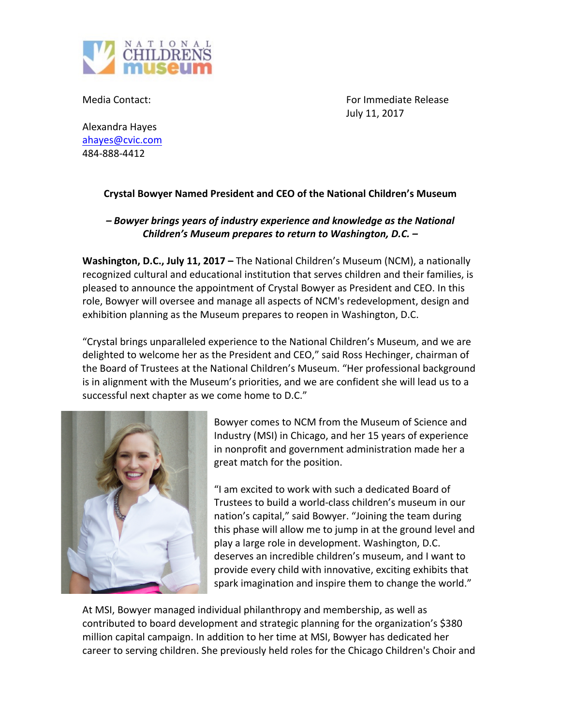

Media Contact: The Contest of Contest of Contest of Contest of Contest of Contest of Contest of Contest of Contest of Contest of Contest of Contest of Contest of Contest of Contest of Contest of Contest of Contest of Conte July 11, 2017

Alexandra Hayes ahayes@cvic.com 484-888-4412

## **Crystal Bowyer Named President and CEO of the National Children's Museum**

## *–* Bowyer brings years of industry experience and knowledge as the National *Children's Museum prepares to return to Washington, D.C.* –

**Washington, D.C., July 11, 2017** – The National Children's Museum (NCM), a nationally recognized cultural and educational institution that serves children and their families, is pleased to announce the appointment of Crystal Bowyer as President and CEO. In this role, Bowyer will oversee and manage all aspects of NCM's redevelopment, design and exhibition planning as the Museum prepares to reopen in Washington, D.C.

"Crystal brings unparalleled experience to the National Children's Museum, and we are delighted to welcome her as the President and CEO," said Ross Hechinger, chairman of the Board of Trustees at the National Children's Museum. "Her professional background is in alignment with the Museum's priorities, and we are confident she will lead us to a successful next chapter as we come home to D.C."



Bowyer comes to NCM from the Museum of Science and Industry (MSI) in Chicago, and her 15 years of experience in nonprofit and government administration made her a great match for the position.

"I am excited to work with such a dedicated Board of Trustees to build a world-class children's museum in our nation's capital," said Bowyer. "Joining the team during this phase will allow me to jump in at the ground level and play a large role in development. Washington, D.C. deserves an incredible children's museum, and I want to provide every child with innovative, exciting exhibits that spark imagination and inspire them to change the world."

At MSI, Bowyer managed individual philanthropy and membership, as well as contributed to board development and strategic planning for the organization's \$380 million capital campaign. In addition to her time at MSI, Bowyer has dedicated her career to serving children. She previously held roles for the Chicago Children's Choir and